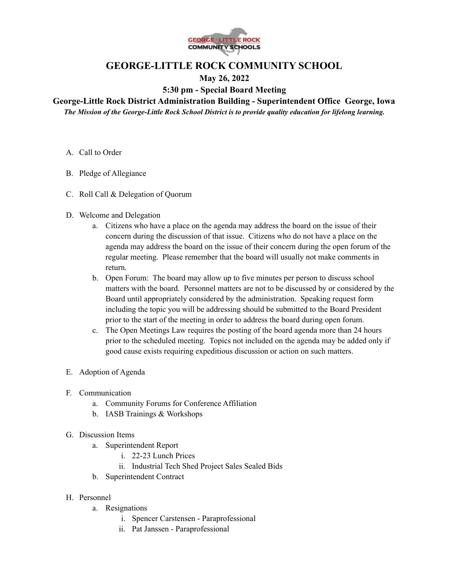

## **GEORGE-LITTLE ROCK COMMUNITY SCHOOL**

## **May 26, 2022**

## **5:30 pm - Special Board Meeting**

## **George-Little Rock District Administration Building - Superintendent Office George, Iowa**

*The Mission of the George-Little Rock School District is to provide quality education for lifelong learning.*

- A. Call to Order
- B. Pledge of Allegiance
- C. Roll Call & Delegation of Quorum
- D. Welcome and Delegation
	- a. Citizens who have a place on the agenda may address the board on the issue of their concern during the discussion of that issue. Citizens who do not have a place on the agenda may address the board on the issue of their concern during the open forum of the regular meeting. Please remember that the board will usually not make comments in return.
	- b. Open Forum: The board may allow up to five minutes per person to discuss school matters with the board. Personnel matters are not to be discussed by or considered by the Board until appropriately considered by the administration. Speaking request form including the topic you will be addressing should be submitted to the Board President prior to the start of the meeting in order to address the board during open forum.
	- c. The Open Meetings Law requires the posting of the board agenda more than 24 hours prior to the scheduled meeting. Topics not included on the agenda may be added only if good cause exists requiring expeditious discussion or action on such matters.
- E. Adoption of Agenda
- F. Communication
	- a. Community Forums for Conference Affiliation
	- b. IASB Trainings & Workshops
- G. Discussion Items
	- a. Superintendent Report
		- i. 22-23 Lunch Prices
		- ii. Industrial Tech Shed Project Sales Sealed Bids
	- b. Superintendent Contract
- H. Personnel
	- a. Resignations
		- i. Spencer Carstensen Paraprofessional
		- ii. Pat Janssen Paraprofessional